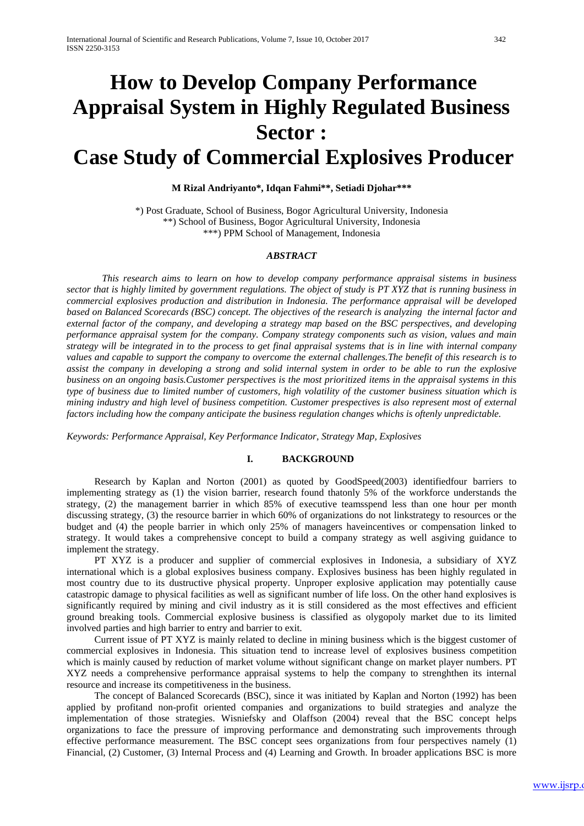# **How to Develop Company Performance Appraisal System in Highly Regulated Business Sector :**

## **Case Study of Commercial Explosives Producer**

## **M Rizal Andriyanto\*, Idqan Fahmi\*\*, Setiadi Djohar\*\*\***

\*) Post Graduate, School of Business, Bogor Agricultural University, Indonesia \*\*) School of Business, Bogor Agricultural University, Indonesia \*\*\*) PPM School of Management, Indonesia

## *ABSTRACT*

*This research aims to learn on how to develop company performance appraisal sistems in business sector that is highly limited by government regulations. The object of study is PT XYZ that is running business in commercial explosives production and distribution in Indonesia. The performance appraisal will be developed based on Balanced Scorecards (BSC) concept. The objectives of the research is analyzing the internal factor and external factor of the company, and developing a strategy map based on the BSC perspectives, and developing performance appraisal system for the company. Company strategy components such as vision, values and main strategy will be integrated in to the process to get final appraisal systems that is in line with internal company values and capable to support the company to overcome the external challenges.The benefit of this research is to assist the company in developing a strong and solid internal system in order to be able to run the explosive business on an ongoing basis.Customer perspectives is the most prioritized items in the appraisal systems in this type of business due to limited number of customers, high volatility of the customer business situation which is mining industry and high level of business competition. Customer prespectives is also represent most of external factors including how the company anticipate the business regulation changes whichs is oftenly unpredictable.*

*Keywords: Performance Appraisal, Key Performance Indicator, Strategy Map, Explosives* 

#### **I. BACKGROUND**

Research by Kaplan and Norton (2001) as quoted by GoodSpeed(2003) identifiedfour barriers to implementing strategy as (1) the vision barrier, research found thatonly 5% of the workforce understands the strategy, (2) the management barrier in which 85% of executive teamsspend less than one hour per month discussing strategy, (3) the resource barrier in which 60% of organizations do not linkstrategy to resources or the budget and (4) the people barrier in which only 25% of managers haveincentives or compensation linked to strategy. It would takes a comprehensive concept to build a company strategy as well asgiving guidance to implement the strategy.

PT XYZ is a producer and supplier of commercial explosives in Indonesia, a subsidiary of XYZ international which is a global explosives business company. Explosives business has been highly regulated in most country due to its dustructive physical property. Unproper explosive application may potentially cause catastropic damage to physical facilities as well as significant number of life loss. On the other hand explosives is significantly required by mining and civil industry as it is still considered as the most effectives and efficient ground breaking tools. Commercial explosive business is classified as olygopoly market due to its limited involved parties and high barrier to entry and barrier to exit.

Current issue of PT XYZ is mainly related to decline in mining business which is the biggest customer of commercial explosives in Indonesia. This situation tend to increase level of explosives business competition which is mainly caused by reduction of market volume without significant change on market player numbers. PT XYZ needs a comprehensive performance appraisal systems to help the company to strenghthen its internal resource and increase its competitiveness in the business.

The concept of Balanced Scorecards (BSC), since it was initiated by Kaplan and Norton (1992) has been applied by profitand non-profit oriented companies and organizations to build strategies and analyze the implementation of those strategies. Wisniefsky and Olaffson (2004) reveal that the BSC concept helps organizations to face the pressure of improving performance and demonstrating such improvements through effective performance measurement. The BSC concept sees organizations from four perspectives namely (1) Financial, (2) Customer, (3) Internal Process and (4) Learning and Growth. In broader applications BSC is more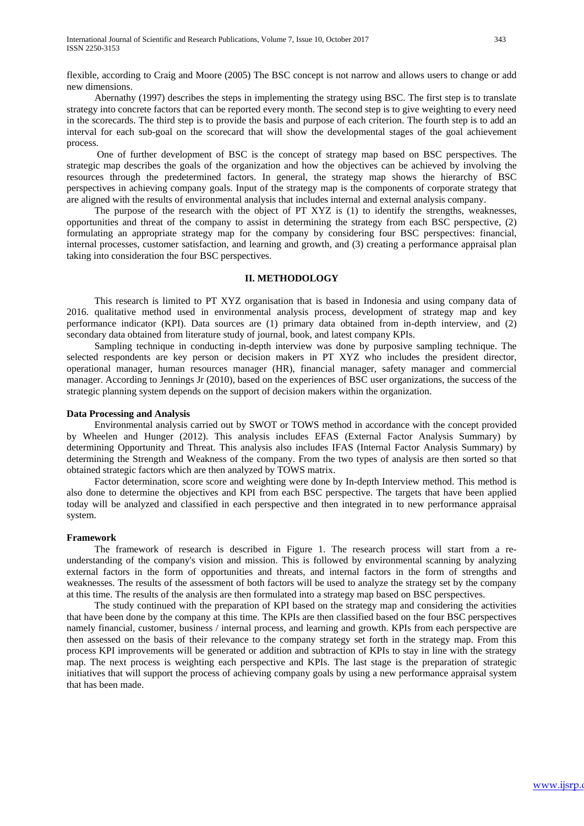flexible, according to Craig and Moore (2005) The BSC concept is not narrow and allows users to change or add new dimensions.

Abernathy (1997) describes the steps in implementing the strategy using BSC. The first step is to translate strategy into concrete factors that can be reported every month. The second step is to give weighting to every need in the scorecards. The third step is to provide the basis and purpose of each criterion. The fourth step is to add an interval for each sub-goal on the scorecard that will show the developmental stages of the goal achievement process.

One of further development of BSC is the concept of strategy map based on BSC perspectives. The strategic map describes the goals of the organization and how the objectives can be achieved by involving the resources through the predetermined factors. In general, the strategy map shows the hierarchy of BSC perspectives in achieving company goals. Input of the strategy map is the components of corporate strategy that are aligned with the results of environmental analysis that includes internal and external analysis company.

The purpose of the research with the object of PT XYZ is (1) to identify the strengths, weaknesses, opportunities and threat of the company to assist in determining the strategy from each BSC perspective, (2) formulating an appropriate strategy map for the company by considering four BSC perspectives: financial, internal processes, customer satisfaction, and learning and growth, and (3) creating a performance appraisal plan taking into consideration the four BSC perspectives.

## **II. METHODOLOGY**

This research is limited to PT XYZ organisation that is based in Indonesia and using company data of 2016. qualitative method used in environmental analysis process, development of strategy map and key performance indicator (KPI). Data sources are (1) primary data obtained from in-depth interview, and (2) secondary data obtained from literature study of journal, book, and latest company KPIs.

Sampling technique in conducting in-depth interview was done by purposive sampling technique. The selected respondents are key person or decision makers in PT XYZ who includes the president director, operational manager, human resources manager (HR), financial manager, safety manager and commercial manager. According to Jennings Jr (2010), based on the experiences of BSC user organizations, the success of the strategic planning system depends on the support of decision makers within the organization.

## **Data Processing and Analysis**

Environmental analysis carried out by SWOT or TOWS method in accordance with the concept provided by Wheelen and Hunger (2012). This analysis includes EFAS (External Factor Analysis Summary) by determining Opportunity and Threat. This analysis also includes IFAS (Internal Factor Analysis Summary) by determining the Strength and Weakness of the company. From the two types of analysis are then sorted so that obtained strategic factors which are then analyzed by TOWS matrix.

Factor determination, score score and weighting were done by In-depth Interview method. This method is also done to determine the objectives and KPI from each BSC perspective. The targets that have been applied today will be analyzed and classified in each perspective and then integrated in to new performance appraisal system.

#### **Framework**

The framework of research is described in Figure 1. The research process will start from a reunderstanding of the company's vision and mission. This is followed by environmental scanning by analyzing external factors in the form of opportunities and threats, and internal factors in the form of strengths and weaknesses. The results of the assessment of both factors will be used to analyze the strategy set by the company at this time. The results of the analysis are then formulated into a strategy map based on BSC perspectives.

The study continued with the preparation of KPI based on the strategy map and considering the activities that have been done by the company at this time. The KPIs are then classified based on the four BSC perspectives namely financial, customer, business / internal process, and learning and growth. KPIs from each perspective are then assessed on the basis of their relevance to the company strategy set forth in the strategy map. From this process KPI improvements will be generated or addition and subtraction of KPIs to stay in line with the strategy map. The next process is weighting each perspective and KPIs. The last stage is the preparation of strategic initiatives that will support the process of achieving company goals by using a new performance appraisal system that has been made.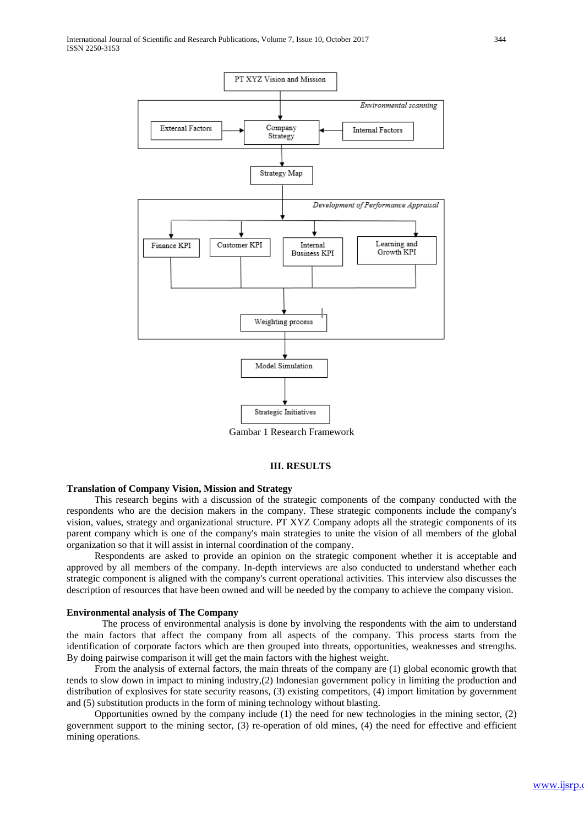

Gambar 1 Research Framework

#### **III. RESULTS**

## **Translation of Company Vision, Mission and Strategy**

This research begins with a discussion of the strategic components of the company conducted with the respondents who are the decision makers in the company. These strategic components include the company's vision, values, strategy and organizational structure. PT XYZ Company adopts all the strategic components of its parent company which is one of the company's main strategies to unite the vision of all members of the global organization so that it will assist in internal coordination of the company.

Respondents are asked to provide an opinion on the strategic component whether it is acceptable and approved by all members of the company. In-depth interviews are also conducted to understand whether each strategic component is aligned with the company's current operational activities. This interview also discusses the description of resources that have been owned and will be needed by the company to achieve the company vision.

#### **Environmental analysis of The Company**

The process of environmental analysis is done by involving the respondents with the aim to understand the main factors that affect the company from all aspects of the company. This process starts from the identification of corporate factors which are then grouped into threats, opportunities, weaknesses and strengths. By doing pairwise comparison it will get the main factors with the highest weight.

From the analysis of external factors, the main threats of the company are (1) global economic growth that tends to slow down in impact to mining industry,(2) Indonesian government policy in limiting the production and distribution of explosives for state security reasons, (3) existing competitors, (4) import limitation by government and (5) substitution products in the form of mining technology without blasting.

Opportunities owned by the company include (1) the need for new technologies in the mining sector, (2) government support to the mining sector, (3) re-operation of old mines, (4) the need for effective and efficient mining operations.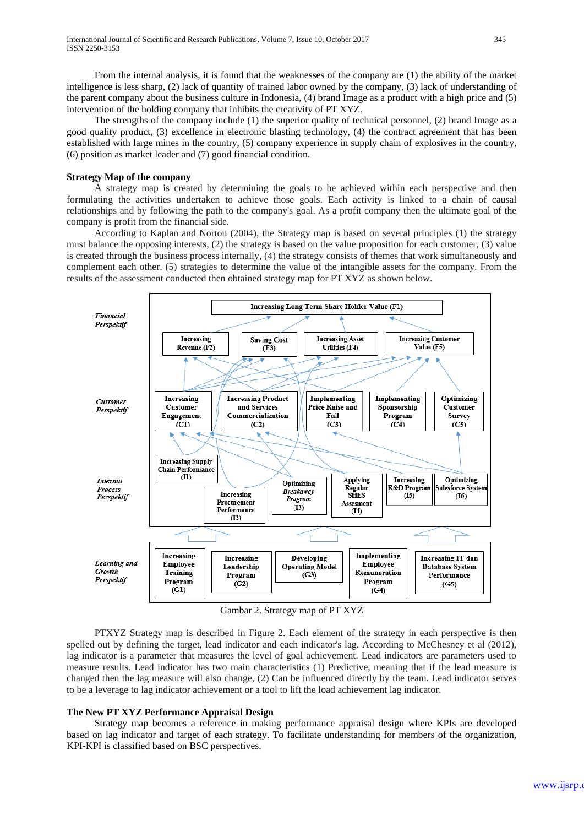From the internal analysis, it is found that the weaknesses of the company are (1) the ability of the market intelligence is less sharp, (2) lack of quantity of trained labor owned by the company, (3) lack of understanding of the parent company about the business culture in Indonesia, (4) brand Image as a product with a high price and (5) intervention of the holding company that inhibits the creativity of PT XYZ.

The strengths of the company include (1) the superior quality of technical personnel, (2) brand Image as a good quality product, (3) excellence in electronic blasting technology, (4) the contract agreement that has been established with large mines in the country, (5) company experience in supply chain of explosives in the country, (6) position as market leader and (7) good financial condition.

#### **Strategy Map of the company**

A strategy map is created by determining the goals to be achieved within each perspective and then formulating the activities undertaken to achieve those goals. Each activity is linked to a chain of causal relationships and by following the path to the company's goal. As a profit company then the ultimate goal of the company is profit from the financial side.

According to Kaplan and Norton (2004), the Strategy map is based on several principles (1) the strategy must balance the opposing interests, (2) the strategy is based on the value proposition for each customer, (3) value is created through the business process internally, (4) the strategy consists of themes that work simultaneously and complement each other, (5) strategies to determine the value of the intangible assets for the company. From the results of the assessment conducted then obtained strategy map for PT XYZ as shown below.



Gambar 2. Strategy map of PT XYZ

PTXYZ Strategy map is described in Figure 2. Each element of the strategy in each perspective is then spelled out by defining the target, lead indicator and each indicator's lag. According to McChesney et al (2012), lag indicator is a parameter that measures the level of goal achievement. Lead indicators are parameters used to measure results. Lead indicator has two main characteristics (1) Predictive, meaning that if the lead measure is changed then the lag measure will also change, (2) Can be influenced directly by the team. Lead indicator serves to be a leverage to lag indicator achievement or a tool to lift the load achievement lag indicator.

#### **The New PT XYZ Performance Appraisal Design**

Strategy map becomes a reference in making performance appraisal design where KPIs are developed based on lag indicator and target of each strategy. To facilitate understanding for members of the organization, KPI-KPI is classified based on BSC perspectives.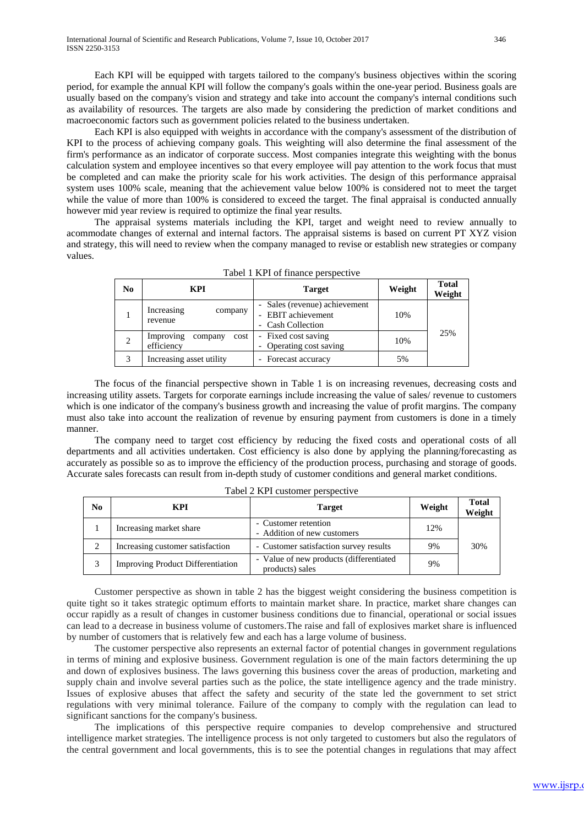Each KPI will be equipped with targets tailored to the company's business objectives within the scoring period, for example the annual KPI will follow the company's goals within the one-year period. Business goals are usually based on the company's vision and strategy and take into account the company's internal conditions such as availability of resources. The targets are also made by considering the prediction of market conditions and macroeconomic factors such as government policies related to the business undertaken.

Each KPI is also equipped with weights in accordance with the company's assessment of the distribution of KPI to the process of achieving company goals. This weighting will also determine the final assessment of the firm's performance as an indicator of corporate success. Most companies integrate this weighting with the bonus calculation system and employee incentives so that every employee will pay attention to the work focus that must be completed and can make the priority scale for his work activities. The design of this performance appraisal system uses 100% scale, meaning that the achievement value below 100% is considered not to meet the target while the value of more than 100% is considered to exceed the target. The final appraisal is conducted annually however mid year review is required to optimize the final year results.

The appraisal systems materials including the KPI, target and weight need to review annually to acommodate changes of external and internal factors. The appraisal sistems is based on current PT XYZ vision and strategy, this will need to review when the company managed to revise or establish new strategies or company values.

| No. | KPI                                        | <b>Target</b>                                                            | Weight | <b>Total</b><br>Weight |
|-----|--------------------------------------------|--------------------------------------------------------------------------|--------|------------------------|
|     | Increasing<br>company<br>revenue           | - Sales (revenue) achievement<br>- EBIT achievement<br>- Cash Collection | 10%    | 25%                    |
|     | Improving<br>cost<br>company<br>efficiency | - Fixed cost saving<br>Operating cost saving                             | 10%    |                        |
|     | Increasing asset utility                   | Forecast accuracy                                                        | 5%     |                        |

| Tabel 1 KPI of finance perspective |  |
|------------------------------------|--|
|------------------------------------|--|

The focus of the financial perspective shown in Table 1 is on increasing revenues, decreasing costs and increasing utility assets. Targets for corporate earnings include increasing the value of sales/ revenue to customers which is one indicator of the company's business growth and increasing the value of profit margins. The company must also take into account the realization of revenue by ensuring payment from customers is done in a timely manner.

The company need to target cost efficiency by reducing the fixed costs and operational costs of all departments and all activities undertaken. Cost efficiency is also done by applying the planning/forecasting as accurately as possible so as to improve the efficiency of the production process, purchasing and storage of goods. Accurate sales forecasts can result from in-depth study of customer conditions and general market conditions.

| N <sub>0</sub> | <b>KPI</b>                               | <b>Target</b>                                               | Weight | <b>Total</b><br>Weight |
|----------------|------------------------------------------|-------------------------------------------------------------|--------|------------------------|
|                | Increasing market share                  | - Customer retention<br>- Addition of new customers         | 12%    |                        |
| 2              | Increasing customer satisfaction         | - Customer satisfaction survey results                      | 9%     | 30%                    |
| 3              | <b>Improving Product Differentiation</b> | - Value of new products (differentiated)<br>products) sales | 9%     |                        |

Tabel 2 KPI customer perspective

Customer perspective as shown in table 2 has the biggest weight considering the business competition is quite tight so it takes strategic optimum efforts to maintain market share. In practice, market share changes can occur rapidly as a result of changes in customer business conditions due to financial, operational or social issues can lead to a decrease in business volume of customers.The raise and fall of explosives market share is influenced by number of customers that is relatively few and each has a large volume of business.

The customer perspective also represents an external factor of potential changes in government regulations in terms of mining and explosive business. Government regulation is one of the main factors determining the up and down of explosives business. The laws governing this business cover the areas of production, marketing and supply chain and involve several parties such as the police, the state intelligence agency and the trade ministry. Issues of explosive abuses that affect the safety and security of the state led the government to set strict regulations with very minimal tolerance. Failure of the company to comply with the regulation can lead to significant sanctions for the company's business.

The implications of this perspective require companies to develop comprehensive and structured intelligence market strategies. The intelligence process is not only targeted to customers but also the regulators of the central government and local governments, this is to see the potential changes in regulations that may affect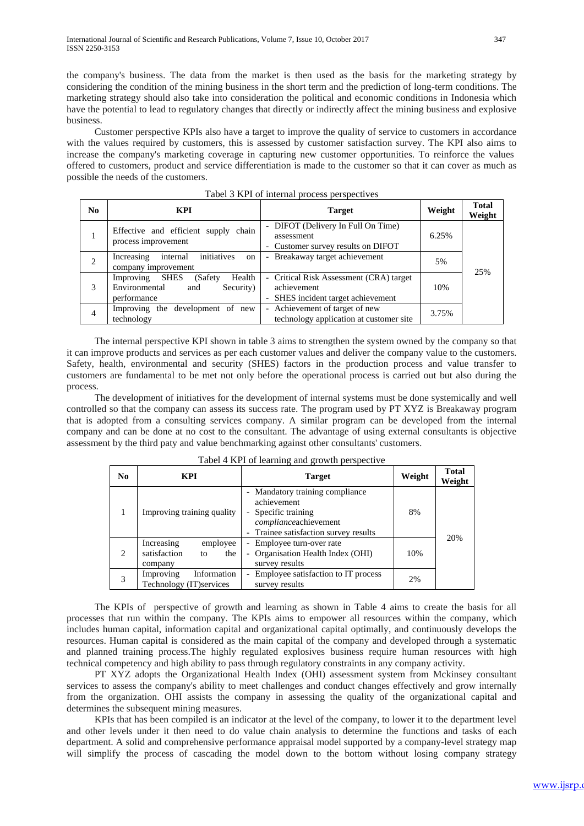the company's business. The data from the market is then used as the basis for the marketing strategy by considering the condition of the mining business in the short term and the prediction of long-term conditions. The marketing strategy should also take into consideration the political and economic conditions in Indonesia which have the potential to lead to regulatory changes that directly or indirectly affect the mining business and explosive business.

Customer perspective KPIs also have a target to improve the quality of service to customers in accordance with the values required by customers, this is assessed by customer satisfaction survey. The KPI also aims to increase the company's marketing coverage in capturing new customer opportunities. To reinforce the values offered to customers, product and service differentiation is made to the customer so that it can cover as much as possible the needs of the customers.

| N <sub>0</sub> | <b>KPI</b>                                                                                         | <b>Target</b>                                                                                | Weight | <b>Total</b><br>Weight |
|----------------|----------------------------------------------------------------------------------------------------|----------------------------------------------------------------------------------------------|--------|------------------------|
|                | Effective and efficient supply chain<br>process improvement                                        | - DIFOT (Delivery In Full On Time)<br>assessment<br>- Customer survey results on DIFOT       | 6.25%  |                        |
| 2              | initiatives<br>Increasing<br>internal<br><sub>on</sub><br>company improvement                      | Breakaway target achievement                                                                 | 5%     | 25%                    |
|                | Health<br>Improving<br><b>SHES</b><br>(Safety)<br>Security)<br>Environmental<br>and<br>performance | - Critical Risk Assessment (CRA) target<br>achievement<br>- SHES incident target achievement | 10%    |                        |
| $\overline{4}$ | Improving the development of new<br>technology                                                     | - Achievement of target of new<br>technology application at customer site                    | 3.75%  |                        |

Tabel 3 KPI of internal process perspectives

The internal perspective KPI shown in table 3 aims to strengthen the system owned by the company so that it can improve products and services as per each customer values and deliver the company value to the customers. Safety, health, environmental and security (SHES) factors in the production process and value transfer to customers are fundamental to be met not only before the operational process is carried out but also during the process.

The development of initiatives for the development of internal systems must be done systemically and well controlled so that the company can assess its success rate. The program used by PT XYZ is Breakaway program that is adopted from a consulting services company. A similar program can be developed from the internal company and can be done at no cost to the consultant. The advantage of using external consultants is objective assessment by the third paty and value benchmarking against other consultants' customers.

| N <sub>0</sub>                | <b>KPI</b>                                                     | <b>Target</b>                                                                                                                         | Weight | <b>Total</b><br>Weight |
|-------------------------------|----------------------------------------------------------------|---------------------------------------------------------------------------------------------------------------------------------------|--------|------------------------|
|                               | Improving training quality                                     | - Mandatory training compliance<br>achievement<br>Specific training<br>complianceachievement<br>- Trainee satisfaction survey results | 8%     |                        |
| $\mathfrak{D}_{\mathfrak{p}}$ | Increasing<br>employee<br>satisfaction<br>the<br>to<br>company | - Employee turn-over rate<br>- Organisation Health Index (OHI)<br>survey results                                                      | 10%    | 20%                    |
| 3                             | Information<br>Improving<br>Technology (IT) services           | Employee satisfaction to IT process<br>$\overline{\phantom{0}}$<br>survey results                                                     | 2%     |                        |

Tabel 4 KPI of learning and growth perspective

The KPIs of perspective of growth and learning as shown in Table 4 aims to create the basis for all processes that run within the company. The KPIs aims to empower all resources within the company, which includes human capital, information capital and organizational capital optimally, and continuously develops the resources. Human capital is considered as the main capital of the company and developed through a systematic and planned training process.The highly regulated explosives business require human resources with high technical competency and high ability to pass through regulatory constraints in any company activity.

PT XYZ adopts the Organizational Health Index (OHI) assessment system from Mckinsey consultant services to assess the company's ability to meet challenges and conduct changes effectively and grow internally from the organization. OHI assists the company in assessing the quality of the organizational capital and determines the subsequent mining measures.

KPIs that has been compiled is an indicator at the level of the company, to lower it to the department level and other levels under it then need to do value chain analysis to determine the functions and tasks of each department. A solid and comprehensive performance appraisal model supported by a company-level strategy map will simplify the process of cascading the model down to the bottom without losing company strategy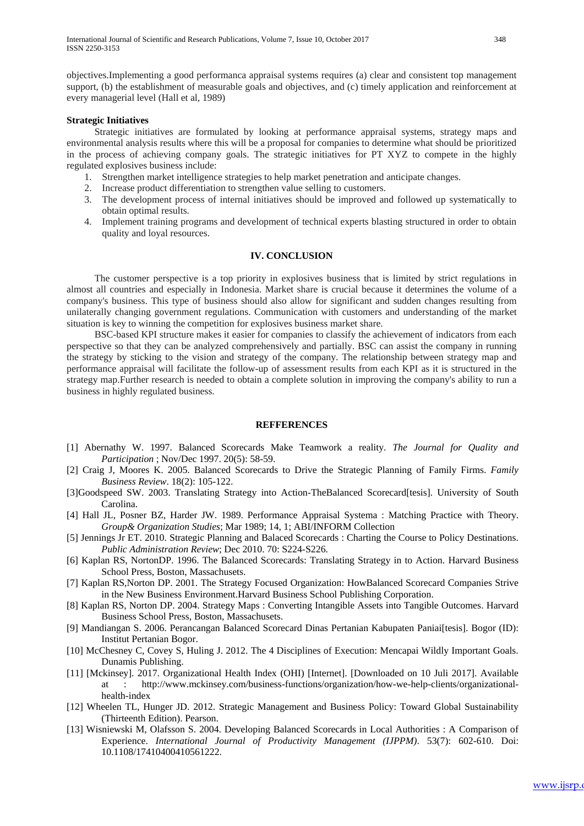objectives.Implementing a good performanca appraisal systems requires (a) clear and consistent top management support, (b) the establishment of measurable goals and objectives, and (c) timely application and reinforcement at every managerial level (Hall et al, 1989)

#### **Strategic Initiatives**

Strategic initiatives are formulated by looking at performance appraisal systems, strategy maps and environmental analysis results where this will be a proposal for companies to determine what should be prioritized in the process of achieving company goals. The strategic initiatives for PT XYZ to compete in the highly regulated explosives business include:

- 1. Strengthen market intelligence strategies to help market penetration and anticipate changes.
- 2. Increase product differentiation to strengthen value selling to customers.
- 3. The development process of internal initiatives should be improved and followed up systematically to obtain optimal results.
- 4. Implement training programs and development of technical experts blasting structured in order to obtain quality and loyal resources.

## **IV. CONCLUSION**

The customer perspective is a top priority in explosives business that is limited by strict regulations in almost all countries and especially in Indonesia. Market share is crucial because it determines the volume of a company's business. This type of business should also allow for significant and sudden changes resulting from unilaterally changing government regulations. Communication with customers and understanding of the market situation is key to winning the competition for explosives business market share.

BSC-based KPI structure makes it easier for companies to classify the achievement of indicators from each perspective so that they can be analyzed comprehensively and partially. BSC can assist the company in running the strategy by sticking to the vision and strategy of the company. The relationship between strategy map and performance appraisal will facilitate the follow-up of assessment results from each KPI as it is structured in the strategy map.Further research is needed to obtain a complete solution in improving the company's ability to run a business in highly regulated business.

### **REFFERENCES**

- [1] Abernathy W. 1997. Balanced Scorecards Make Teamwork a reality. *The Journal for Quality and Participation* ; Nov/Dec 1997. 20(5): 58-59.
- [2] Craig J, Moores K. 2005. Balanced Scorecards to Drive the Strategic Planning of Family Firms. *Family Business Review*. 18(2): 105-122.
- [3]Goodspeed SW. 2003. Translating Strategy into Action-TheBalanced Scorecard[tesis]. University of South Carolina.
- [4] Hall JL, Posner BZ, Harder JW. 1989. Performance Appraisal Systema : Matching Practice with Theory. *Group& Organization Studies*; Mar 1989; 14, 1; ABI/INFORM Collection
- [5] Jennings Jr ET. 2010. Strategic Planning and Balaced Scorecards : Charting the Course to Policy Destinations. *Public Administration Review*; Dec 2010. 70: S224-S226.
- [6] Kaplan RS, NortonDP. 1996. The Balanced Scorecards: Translating Strategy in to Action. Harvard Business School Press, Boston, Massachusets.
- [7] Kaplan RS,Norton DP. 2001. The Strategy Focused Organization: HowBalanced Scorecard Companies Strive in the New Business Environment.Harvard Business School Publishing Corporation.
- [8] Kaplan RS, Norton DP. 2004. Strategy Maps : Converting Intangible Assets into Tangible Outcomes. Harvard Business School Press, Boston, Massachusets.
- [9] Mandiangan S. 2006. Perancangan Balanced Scorecard Dinas Pertanian Kabupaten Paniai[tesis]. Bogor (ID): Institut Pertanian Bogor.
- [10] McChesney C, Covey S, Huling J. 2012. The 4 Disciplines of Execution: Mencapai Wildly Important Goals. Dunamis Publishing.
- [11] [Mckinsey]. 2017. Organizational Health Index (OHI) [Internet]. [Downloaded on 10 Juli 2017]. Available at : http://www.mckinsey.com/business-functions/organization/how-we-help-clients/organizationalhealth-index
- [12] Wheelen TL, Hunger JD. 2012. Strategic Management and Business Policy: Toward Global Sustainability (Thirteenth Edition). Pearson.
- [13] Wisniewski M, Olafsson S. 2004. Developing Balanced Scorecards in Local Authorities : A Comparison of Experience. *International Journal of Productivity Management (IJPPM)*. 53(7): 602-610. Doi: 10.1108/17410400410561222.